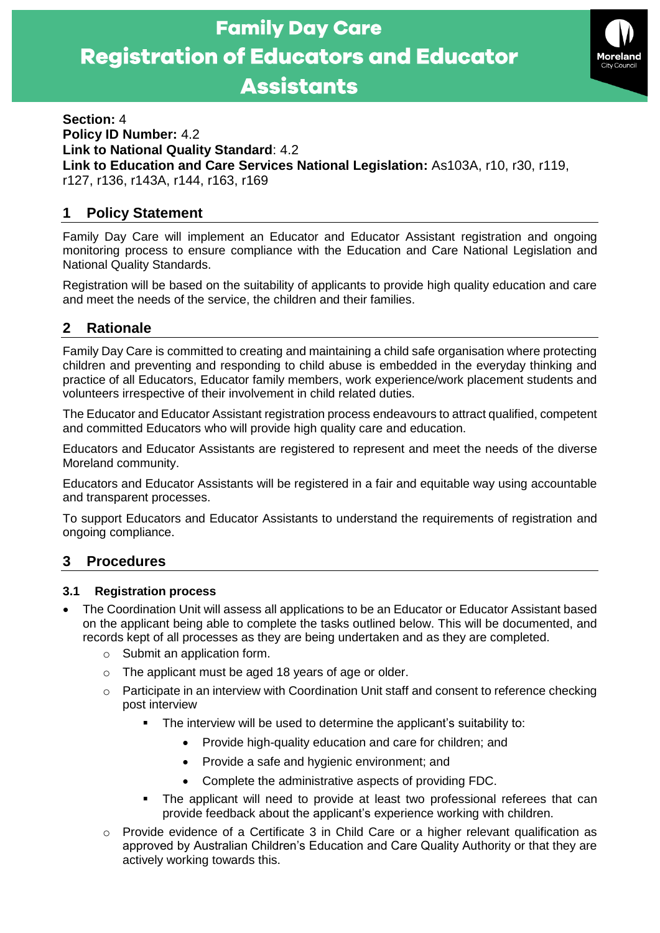

### **Section:** 4 **Policy ID Number:** 4.2 **Link to National Quality Standard**: 4.2 **Link to Education and Care Services National Legislation:** As103A, r10, r30, r119, r127, r136, r143A, r144, r163, r169

# **1 Policy Statement**

Family Day Care will implement an Educator and Educator Assistant registration and ongoing monitoring process to ensure compliance with the Education and Care National Legislation and National Quality Standards.

Registration will be based on the suitability of applicants to provide high quality education and care and meet the needs of the service, the children and their families.

## **2 Rationale**

Family Day Care is committed to creating and maintaining a child safe organisation where protecting children and preventing and responding to child abuse is embedded in the everyday thinking and practice of all Educators, Educator family members, work experience/work placement students and volunteers irrespective of their involvement in child related duties.

The Educator and Educator Assistant registration process endeavours to attract qualified, competent and committed Educators who will provide high quality care and education.

Educators and Educator Assistants are registered to represent and meet the needs of the diverse Moreland community.

Educators and Educator Assistants will be registered in a fair and equitable way using accountable and transparent processes.

To support Educators and Educator Assistants to understand the requirements of registration and ongoing compliance.

## **3 Procedures**

#### **3.1 Registration process**

- The Coordination Unit will assess all applications to be an Educator or Educator Assistant based on the applicant being able to complete the tasks outlined below. This will be documented, and records kept of all processes as they are being undertaken and as they are completed.
	- o Submit an application form.
	- o The applicant must be aged 18 years of age or older.
	- $\circ$  Participate in an interview with Coordination Unit staff and consent to reference checking post interview
		- The interview will be used to determine the applicant's suitability to:
			- Provide high-quality education and care for children; and
			- Provide a safe and hygienic environment; and
			- Complete the administrative aspects of providing FDC.
		- The applicant will need to provide at least two professional referees that can provide feedback about the applicant's experience working with children.
	- o Provide evidence of a Certificate 3 in Child Care or a higher relevant qualification as approved by Australian Children's Education and Care Quality Authority or that they are actively working towards this.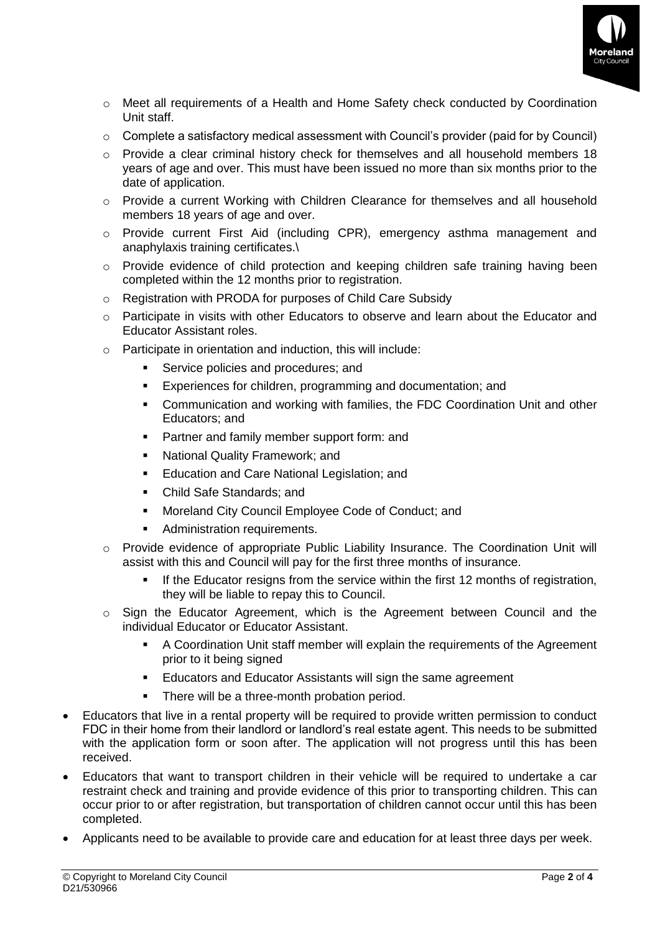

- o Meet all requirements of a Health and Home Safety check conducted by Coordination Unit staff.
- $\circ$  Complete a satisfactory medical assessment with Council's provider (paid for by Council)
- $\circ$  Provide a clear criminal history check for themselves and all household members 18 years of age and over. This must have been issued no more than six months prior to the date of application.
- o Provide a current Working with Children Clearance for themselves and all household members 18 years of age and over.
- o Provide current First Aid (including CPR), emergency asthma management and anaphylaxis training certificates.\
- $\circ$  Provide evidence of child protection and keeping children safe training having been completed within the 12 months prior to registration.
- o Registration with PRODA for purposes of Child Care Subsidy
- $\circ$  Participate in visits with other Educators to observe and learn about the Educator and Educator Assistant roles.
- o Participate in orientation and induction, this will include:
	- Service policies and procedures; and
	- **Experiences for children, programming and documentation; and**
	- Communication and working with families, the FDC Coordination Unit and other Educators; and
	- Partner and family member support form: and
	- National Quality Framework: and
	- Education and Care National Legislation; and
	- Child Safe Standards; and
	- Moreland City Council Employee Code of Conduct; and
	- Administration requirements.
- o Provide evidence of appropriate Public Liability Insurance. The Coordination Unit will assist with this and Council will pay for the first three months of insurance.
	- **.** If the Educator resigns from the service within the first 12 months of registration, they will be liable to repay this to Council.
- $\circ$  Sign the Educator Agreement, which is the Agreement between Council and the individual Educator or Educator Assistant.
	- A Coordination Unit staff member will explain the requirements of the Agreement prior to it being signed
	- Educators and Educator Assistants will sign the same agreement
		- There will be a three-month probation period.
- Educators that live in a rental property will be required to provide written permission to conduct FDC in their home from their landlord or landlord's real estate agent. This needs to be submitted with the application form or soon after. The application will not progress until this has been received.
- Educators that want to transport children in their vehicle will be required to undertake a car restraint check and training and provide evidence of this prior to transporting children. This can occur prior to or after registration, but transportation of children cannot occur until this has been completed.
- Applicants need to be available to provide care and education for at least three days per week.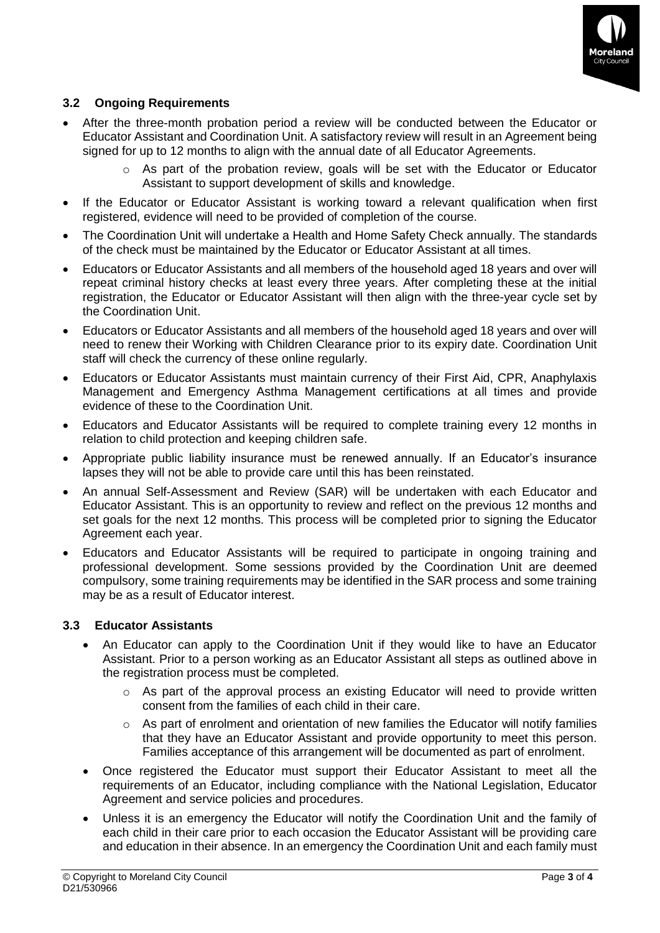

## **3.2 Ongoing Requirements**

- After the three-month probation period a review will be conducted between the Educator or Educator Assistant and Coordination Unit. A satisfactory review will result in an Agreement being signed for up to 12 months to align with the annual date of all Educator Agreements.
	- o As part of the probation review, goals will be set with the Educator or Educator Assistant to support development of skills and knowledge.
- If the Educator or Educator Assistant is working toward a relevant qualification when first registered, evidence will need to be provided of completion of the course.
- The Coordination Unit will undertake a Health and Home Safety Check annually. The standards of the check must be maintained by the Educator or Educator Assistant at all times.
- Educators or Educator Assistants and all members of the household aged 18 years and over will repeat criminal history checks at least every three years. After completing these at the initial registration, the Educator or Educator Assistant will then align with the three-year cycle set by the Coordination Unit.
- Educators or Educator Assistants and all members of the household aged 18 years and over will need to renew their Working with Children Clearance prior to its expiry date. Coordination Unit staff will check the currency of these online regularly.
- Educators or Educator Assistants must maintain currency of their First Aid, CPR, Anaphylaxis Management and Emergency Asthma Management certifications at all times and provide evidence of these to the Coordination Unit.
- Educators and Educator Assistants will be required to complete training every 12 months in relation to child protection and keeping children safe.
- Appropriate public liability insurance must be renewed annually. If an Educator's insurance lapses they will not be able to provide care until this has been reinstated.
- An annual Self-Assessment and Review (SAR) will be undertaken with each Educator and Educator Assistant. This is an opportunity to review and reflect on the previous 12 months and set goals for the next 12 months. This process will be completed prior to signing the Educator Agreement each year.
- Educators and Educator Assistants will be required to participate in ongoing training and professional development. Some sessions provided by the Coordination Unit are deemed compulsory, some training requirements may be identified in the SAR process and some training may be as a result of Educator interest.

#### **3.3 Educator Assistants**

- An Educator can apply to the Coordination Unit if they would like to have an Educator Assistant. Prior to a person working as an Educator Assistant all steps as outlined above in the registration process must be completed.
	- o As part of the approval process an existing Educator will need to provide written consent from the families of each child in their care.
	- $\circ$  As part of enrolment and orientation of new families the Educator will notify families that they have an Educator Assistant and provide opportunity to meet this person. Families acceptance of this arrangement will be documented as part of enrolment.
- Once registered the Educator must support their Educator Assistant to meet all the requirements of an Educator, including compliance with the National Legislation, Educator Agreement and service policies and procedures.
- Unless it is an emergency the Educator will notify the Coordination Unit and the family of each child in their care prior to each occasion the Educator Assistant will be providing care and education in their absence. In an emergency the Coordination Unit and each family must